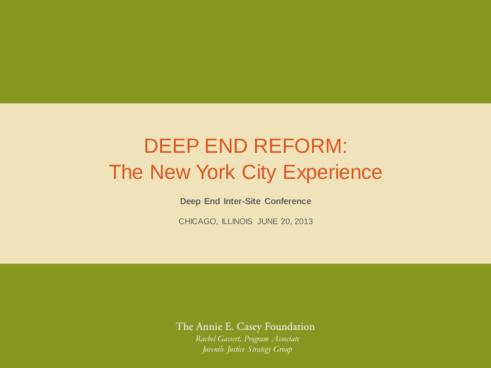# DEEP END REFORM: The New York City Experience

NO PLACE FOR KIDS

**Deep End Inter-Site Conference**

CHICAGO, ILLINOIS JUNE 20, 2013

The Annie E. Casey Foundation

*Rachel Gassert, Program Associate Juvenile Justice Strategy Group*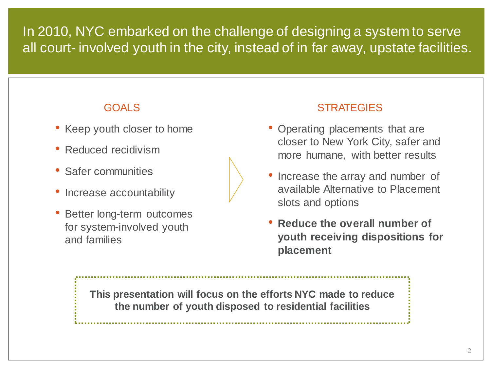### In 2010, NYC embarked on the challenge of designing a system to serve all court- involved youth in the city, instead of in far away, upstate facilities.

- Keep youth closer to home
- Reduced recidivism
- Safer communities
- Increase accountability
- Better long-term outcomes for system-involved youth and families



#### GOALS STRATEGIES

- Operating placements that are closer to New York City, safer and more humane, with better results
- Increase the array and number of available Alternative to Placement slots and options
- **Reduce the overall number of youth receiving dispositions for placement**

**This presentation will focus on the efforts NYC made to reduce the number of youth disposed to residential facilities**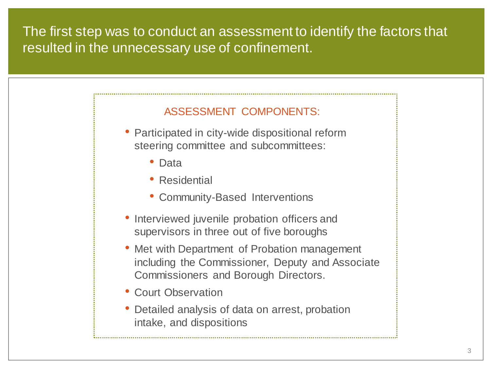#### The first step was to conduct an assessment to identify the factors that resulted in the unnecessary use of confinement.

#### ASSESSMENT COMPONENTS:

- Participated in city-wide dispositional reform steering committee and subcommittees:
	- Data
	- Residential
	- Community-Based Interventions
- Interviewed juvenile probation officers and supervisors in three out of five boroughs
- Met with Department of Probation management including the Commissioner, Deputy and Associate Commissioners and Borough Directors.
- Court Observation
- Detailed analysis of data on arrest, probation intake, and dispositions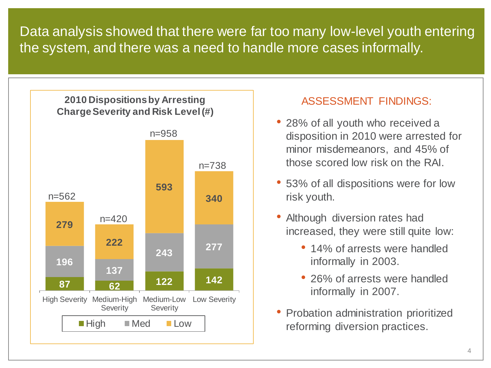Data analysis showed that there were far too many low-level youth entering the system, and there was a need to handle more cases informally.



#### ASSESSMENT FINDINGS:

- 28% of all youth who received a disposition in 2010 were arrested for minor misdemeanors, and 45% of those scored low risk on the RAI.
- 53% of all dispositions were for low risk youth.
- Although diversion rates had increased, they were still quite low:
	- 14% of arrests were handled informally in 2003.
	- 26% of arrests were handled informally in 2007.
- Probation administration prioritized reforming diversion practices.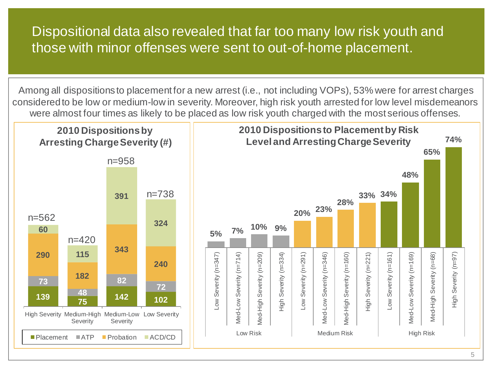#### Dispositional data also revealed that far too many low risk youth and those with minor offenses were sent to out-of-home placement.

Among all dispositions to placement for a new arrest (i.e., not including VOPs), 53% were for arrest charges considered to be low or medium-low in severity. Moreover, high risk youth arrested for low level misdemeanors were almost four times as likely to be placed as low risk youth charged with the most serious offenses.

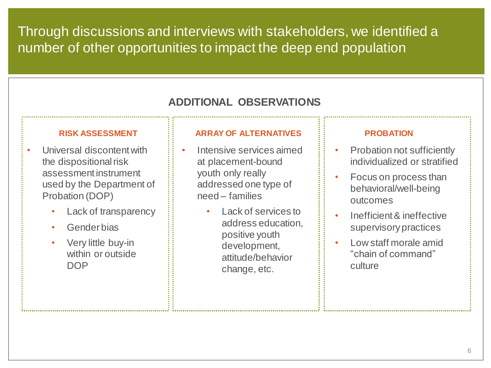Through discussions and interviews with stakeholders, we identified a number of other opportunities to impact the deep end population

#### **ADDITIONAL OBSERVATIONS**

#### **RISK ASSESSMENT**

- Universal discontent with the dispositional risk assessment instrument used by the Department of Probation (DOP)
	- Lack of transparency
	- Gender bias
	- Very little buy-in within or outside **DOP**

#### **ARRAY OF ALTERNATIVES**

- Intensive services aimed at placement-bound youth only really addressed one type of need – families
	- Lack of services to address education, positive youth development, attitude/behavior change, etc.

#### **PROBATION**

- Probation not sufficiently individualized or stratified
- Focus on process than behavioral/well-being outcomes
- Inefficient & ineffective supervisory practices
- Low staff morale amid "chain of command" culture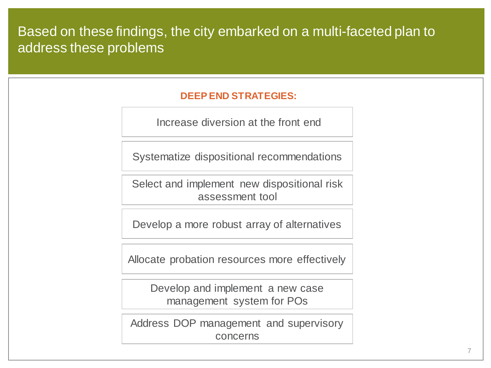#### Based on these findings, the city embarked on a multi-faceted plan to address these problems

#### **DEEP END STRATEGIES:**

Increase diversion at the front end

Systematize dispositional recommendations

Select and implement new dispositional risk assessment tool

Develop a more robust array of alternatives

Allocate probation resources more effectively

Develop and implement a new case management system for POs

Address DOP management and supervisory concerns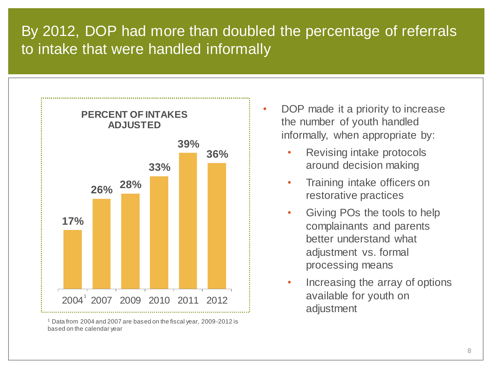## By 2012, DOP had more than doubled the percentage of referrals to intake that were handled informally



<sup>1</sup> Data from 2004 and 2007 are based on the fiscal year, 2009-2012 is based on the calendar year

- DOP made it a priority to increase the number of youth handled informally, when appropriate by:
	- Revising intake protocols around decision making
	- Training intake officers on restorative practices
	- Giving POs the tools to help complainants and parents better understand what adjustment vs. formal processing means
	- Increasing the array of options available for youth on adjustment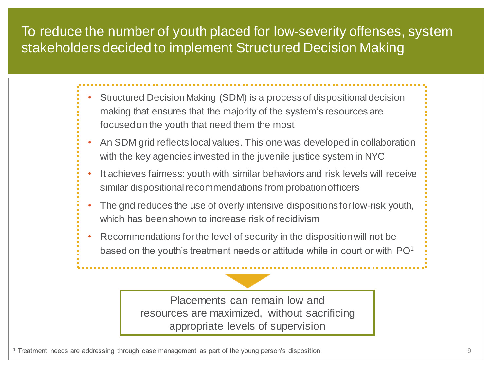### To reduce the number of youth placed for low-severity offenses, system stakeholders decided to implement Structured Decision Making

- Structured Decision Making (SDM) is a process of dispositional decision making that ensures that the majority of the system's resources are focused on the youth that need them the most
- An SDM grid reflects local values. This one was developed in collaboration with the key agencies invested in the juvenile justice system in NYC
- It achieves fairness: youth with similar behaviors and risk levels will receive similar dispositional recommendations from probation officers
- The grid reduces the use of overly intensive dispositions for low-risk youth, which has been shown to increase risk of recidivism
- Recommendations for the level of security in the disposition will not be based on the youth's treatment needs or attitude while in court or with  $PO<sup>1</sup>$

Placements can remain low and resources are maximized, without sacrificing appropriate levels of supervision

<sup>1</sup> Treatment needs are addressing through case management as part of the young person's disposition 9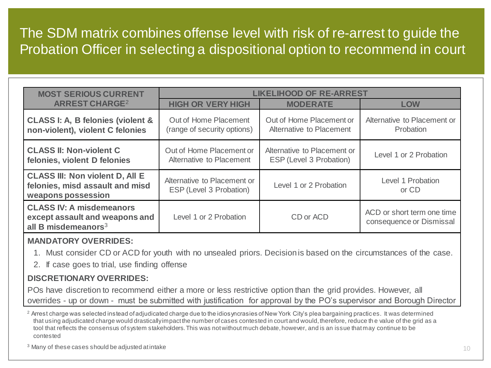### The SDM matrix combines offense level with risk of re-arrest to guide the Probation Officer in selecting a dispositional option to recommend in court

| <b>MOST SERIOUS CURRENT</b>                                                                     | <b>LIKELIHOOD OF RE-ARREST</b>                         |                                                        |                                                        |  |
|-------------------------------------------------------------------------------------------------|--------------------------------------------------------|--------------------------------------------------------|--------------------------------------------------------|--|
| <b>ARREST CHARGE<sup>2</sup></b>                                                                | <b>HIGH OR VERY HIGH</b>                               | <b>MODERATE</b>                                        | <b>LOW</b>                                             |  |
| <b>CLASS I: A, B felonies (violent &amp;</b><br>non-violent), violent C felonies                | Out of Home Placement<br>(range of security options)   | Out of Home Placement or<br>Alternative to Placement   | Alternative to Placement or<br>Probation               |  |
| <b>CLASS II: Non-violent C</b><br>felonies, violent D felonies                                  | Out of Home Placement or<br>Alternative to Placement   | Alternative to Placement or<br>ESP (Level 3 Probation) | Level 1 or 2 Probation                                 |  |
| <b>CLASS III: Non violent D, All E</b><br>felonies, misd assault and misd<br>weapons possession | Alternative to Placement or<br>ESP (Level 3 Probation) | Level 1 or 2 Probation                                 | Level 1 Probation<br>or CD                             |  |
| <b>CLASS IV: A misdemeanors</b><br>except assault and weapons and<br>all B misdemeanors $3$     | Level 1 or 2 Probation                                 | CD or ACD                                              | ACD or short term one time<br>consequence or Dismissal |  |

#### **MANDATORY OVERRIDES:**

- 1. Must consider CD or ACD for youth with no unsealed priors. Decision is based on the circumstances of the case.
- 2. If case goes to trial, use finding offense

#### **DISCRETIONARY OVERRIDES:**

POs have discretion to recommend either a more or less restrictive option than the grid provides. However, all overrides - up or down - must be submitted with justification for approval by the PO's supervisor and Borough Director

<sup>2</sup> Arrest charge was selected instead of adjudicated charge due to the idiosyncrasies of New York City's plea bargaining practices. It was determined that using adjudicated charge would drastically impact the number of cases contested in court and would, therefore, reduce th e value of the grid as a tool that reflects the consensus of system stakeholders. This was not without much debate, however, and is an issue that may continue to be contested

<sup>3</sup> Many of these cases should be adjusted at intake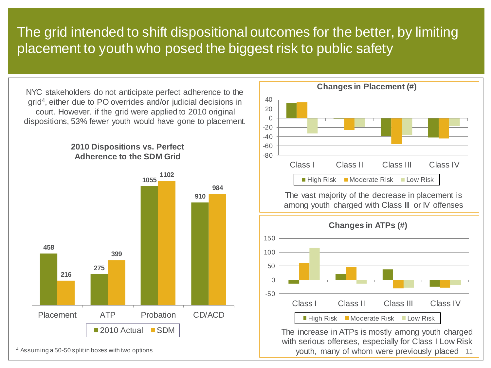### The grid intended to shift dispositional outcomes for the better, by limiting placement to youth who posed the biggest risk to public safety

NYC stakeholders do not anticipate perfect adherence to the grid<sup>4</sup> , either due to PO overrides and/or judicial decisions in court. However, if the grid were applied to 2010 original dispositions, 53% fewer youth would have gone to placement.

**2010 Dispositions vs. Perfect Adherence to the SDM Grid**





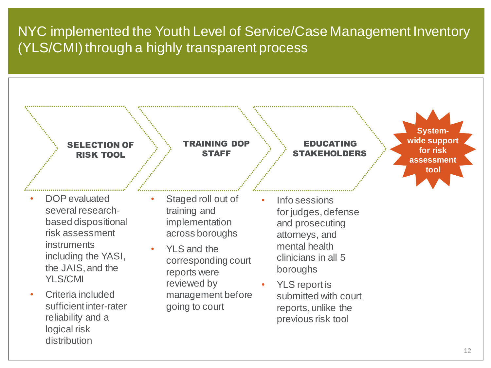### NYC implemented the Youth Level of Service/Case Management Inventory (YLS/CMI) through a highly transparent process



distribution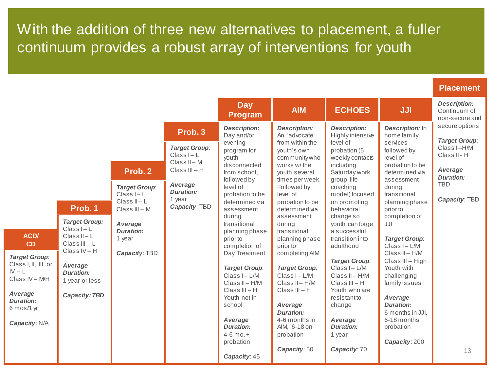With the addition of three new alternatives to placement, a fuller continuum provides a robust array of interventions for youth

|  | <b>Placement</b> |  |
|--|------------------|--|
|  |                  |  |
|  |                  |  |

|                                                                                                                  |                                                                                                     |                                                                                                                                       |                                                                                                                                             | <b>Day</b><br><b>Program</b>                                                                                                                                                                                                                                                 | <b>AIM</b>                                                                                                                                                                                                                                                                                         | <b>ECHOES</b>                                                                                                                                                                                                                                                                                           | <b>JJI</b>                                                                                                                                                                                                                                                                                   | <b>Description:</b><br>Continuum of<br>non-secure and                                                                               |
|------------------------------------------------------------------------------------------------------------------|-----------------------------------------------------------------------------------------------------|---------------------------------------------------------------------------------------------------------------------------------------|---------------------------------------------------------------------------------------------------------------------------------------------|------------------------------------------------------------------------------------------------------------------------------------------------------------------------------------------------------------------------------------------------------------------------------|----------------------------------------------------------------------------------------------------------------------------------------------------------------------------------------------------------------------------------------------------------------------------------------------------|---------------------------------------------------------------------------------------------------------------------------------------------------------------------------------------------------------------------------------------------------------------------------------------------------------|----------------------------------------------------------------------------------------------------------------------------------------------------------------------------------------------------------------------------------------------------------------------------------------------|-------------------------------------------------------------------------------------------------------------------------------------|
| <b>ACD/</b><br>CD<br><b>Target Group:</b>                                                                        | Prob. 1<br><b>Target Group:</b><br>$Class I - L$<br>Class $II - L$<br>Class $III - L$<br>Class IV-H | Prob. 2<br><b>Target Group:</b><br>Class I-L<br>Class II-L<br>Class III - M<br>Average<br><b>Duration:</b><br>1 year<br>Capacity: TBD | Prob. 3<br><b>Target Group:</b><br>$Class I - L$<br>Class II-M<br>$Class III - H$<br>Average<br><b>Duration:</b><br>1 year<br>Capacity: TBD | <b>Description:</b><br>Day and/or<br>evening<br>program for<br>youth<br>disconnected<br>from school,<br>followed by<br>level of<br>probation to be<br>determined via<br>assessment<br>during<br>transitional<br>planning phase<br>prior to<br>completion of<br>Day Treatment | <b>Description:</b><br>An "advocate"<br>from within the<br>youth's own<br>communitywho<br>works w/ the<br>youth several<br>times per week.<br>Followed by<br>level of<br>probation to be<br>determined via<br>assessment<br>during<br>transitional<br>planning phase<br>prior to<br>completing AIM | <b>Description:</b><br>Highly intensive<br>level of<br>probation (5<br>weekly contacts<br>including<br>Saturday work<br>group; life<br>coaching<br>model) focused<br>on promoting<br>behavioral<br>change so<br>youth can forge<br>a successful<br>transition into<br>adulthood<br><b>Target Group:</b> | <b>Description:</b> In<br>home family<br>services<br>followed by<br>level of<br>probation to be<br>determined via<br>assessment<br>durina<br>transitional<br>planning phase<br>prior to<br>completion of<br>JJI<br><b>Target Group:</b><br>Class I - L/M<br>Class II-H/M<br>Class III - High | secure options<br><b>Target Group:</b><br>Class I-H/M<br>Class II - H<br>Average<br><b>Duration:</b><br><b>TBD</b><br>Capacity: TBD |
| Class I, II, III, or<br>$IV - L$<br>Class IV - M/H<br>Average<br><b>Duration:</b><br>6 mos/1 yr<br>Capacity: N/A | Average<br>Duration:<br>1 year or less<br><b>Capacity: TBD</b>                                      |                                                                                                                                       |                                                                                                                                             | <b>Target Group:</b><br>Class I-L/M<br>Class II-H/M<br>$Class III - H$<br>Youth not in<br>school<br>Average<br><b>Duration:</b><br>$4-6$ mo. $+$<br>probation<br>Capacity: 45                                                                                                | <b>Target Group:</b><br>Class I-L/M<br>Class II-H/M<br>$Class III - H$<br>Average<br><b>Duration:</b><br>4-6 months in<br>AIM, 6-18 on<br>probation<br>Capacity: 50                                                                                                                                | Class I-L/M<br>Class II-H/M<br>$Class III - H$<br>Youth who are<br>resistantto<br>change<br>Average<br><b>Duration:</b><br>1 year<br>Capacity: 70                                                                                                                                                       | Youth with<br>challenging<br>family issues<br>Average<br><b>Duration:</b><br>6 months in JJI.<br>6-18 months<br>probation<br>Capacity: 200                                                                                                                                                   | 13                                                                                                                                  |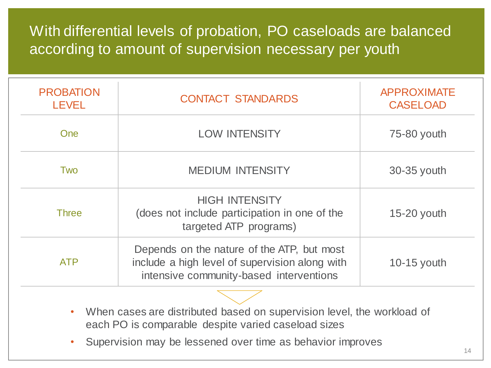### With differential levels of probation, PO caseloads are balanced according to amount of supervision necessary per youth

| <b>PROBATION</b><br><b>LEVEL</b> | <b>CONTACT STANDARDS</b>                                                                                                                | <b>APPROXIMATE</b><br><b>CASELOAD</b> |
|----------------------------------|-----------------------------------------------------------------------------------------------------------------------------------------|---------------------------------------|
| <b>One</b>                       | <b>LOW INTENSITY</b>                                                                                                                    | 75-80 youth                           |
| Two                              | <b>MEDIUM INTENSITY</b>                                                                                                                 | 30-35 youth                           |
| <b>Three</b>                     | <b>HIGH INTENSITY</b><br>(does not include participation in one of the<br>targeted ATP programs)                                        | 15-20 youth                           |
| <b>ATP</b>                       | Depends on the nature of the ATP, but most<br>include a high level of supervision along with<br>intensive community-based interventions | 10-15 youth                           |

- When cases are distributed based on supervision level, the workload of each PO is comparable despite varied caseload sizes
- Supervision may be lessened over time as behavior improves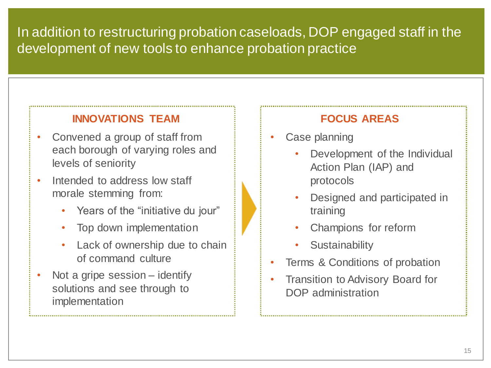### In addition to restructuring probation caseloads, DOP engaged staff in the development of new tools to enhance probation practice

#### **INNOVATIONS TEAM**

- Convened a group of staff from each borough of varying roles and levels of seniority
- Intended to address low staff morale stemming from:
	- Years of the "initiative du jour"
	- Top down implementation
	- Lack of ownership due to chain of command culture
- Not a gripe session identify solutions and see through to implementation

#### **FOCUS AREAS**

- Case planning
	- Development of the Individual Action Plan (IAP) and protocols
	- Designed and participated in training
	- Champions for reform
	- **Sustainability**
- Terms & Conditions of probation
- Transition to Advisory Board for DOP administration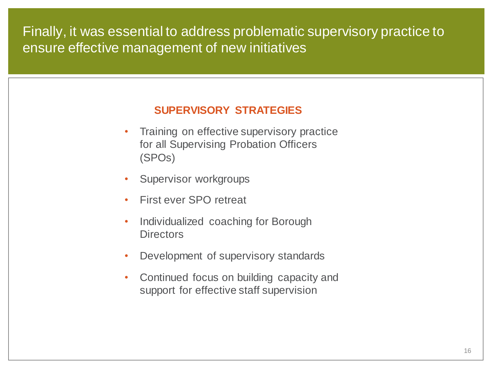#### Finally, it was essential to address problematic supervisory practice to ensure effective management of new initiatives

#### **SUPERVISORY STRATEGIES**

- Training on effective supervisory practice for all Supervising Probation Officers (SPOs)
- Supervisor workgroups
- First ever SPO retreat
- Individualized coaching for Borough **Directors**
- Development of supervisory standards
- Continued focus on building capacity and support for effective staff supervision